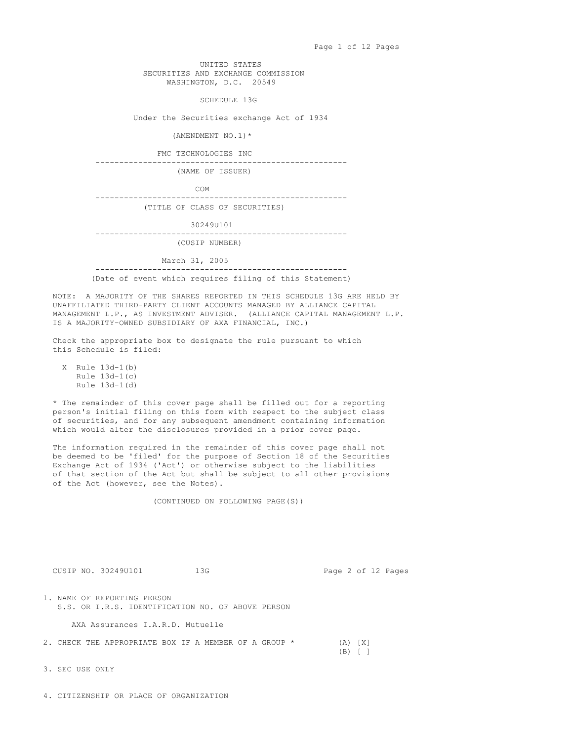UNITED STATES SECURITIES AND EXCHANGE COMMISSION WASHINGTON, D.C. 20549

SCHEDULE 13G

Under the Securities exchange Act of 1934

(AMENDMENT NO.1)\*

FMC TECHNOLOGIES INC

-----------------------------------------------------

(NAME OF ISSUER)

COM

----------------------------------------------------- (TITLE OF CLASS OF SECURITIES)

30249U101

----------------------------------------------------- (CUSIP NUMBER)

March 31, 2005<br>----------------------------------------------------------------------------------

(Date of event which requires filing of this Statement)

NOTE: A MAJORITY OF THE SHARES REPORTED IN THIS SCHEDULE 13G ARE HELD BY UNAFFILIATED THIRD-PARTY CLIENT ACCOUNTS MANAGED BY ALLIANCE CAPITAL MANAGEMENT L.P., AS INVESTMENT ADVISER. (ALLIANCE CAPITAL MANAGEMENT L.P. IS A MAJORITY-OWNED SUBSIDIARY OF AXA FINANCIAL, INC.)

Check the appropriate box to designate the rule pursuant to which this Schedule is filed:

X Rule 13d-1(b) Rule 13d-1(c) Rule 13d-1(d)

\* The remainder of this cover page shall be filled out for a reporting person's initial filing on this form with respect to the subject class of securities, and for any subsequent amendment containing information which would alter the disclosures provided in a prior cover page.

The information required in the remainder of this cover page shall not be deemed to be 'filed' for the purpose of Section 18 of the Securities Exchange Act of 1934 ('Act') or otherwise subject to the liabilities of that section of the Act but shall be subject to all other provisions of the Act (however, see the Notes).

(CONTINUED ON FOLLOWING PAGE(S))

CUSIP NO. 30249U101 13G Page 2 of 12 Pages

1. NAME OF REPORTING PERSON S.S. OR I.R.S. IDENTIFICATION NO. OF ABOVE PERSON

AXA Assurances I.A.R.D. Mutuelle

2. CHECK THE APPROPRIATE BOX IF A MEMBER OF A GROUP \* (A) [X]

(B) [ ]

3. SEC USE ONLY

4. CITIZENSHIP OR PLACE OF ORGANIZATION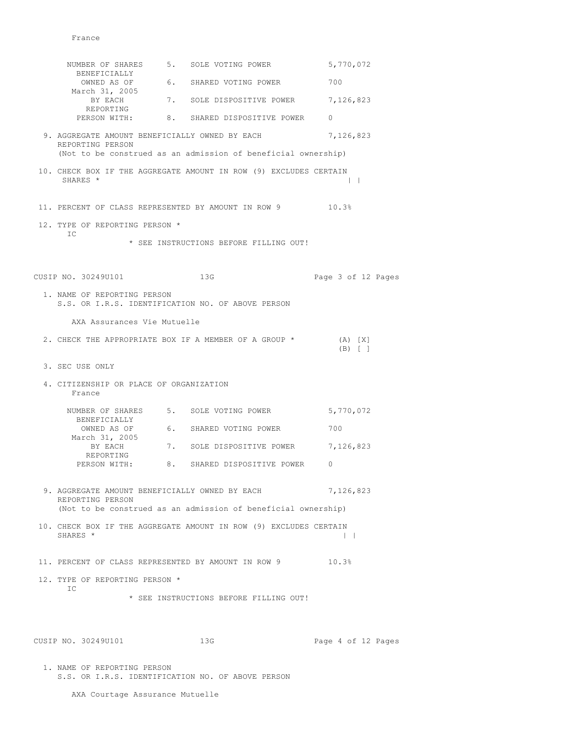|                                                                    | NUMBER OF SHARES 5. SOLE VOTING POWER                             | 5,770,072                |
|--------------------------------------------------------------------|-------------------------------------------------------------------|--------------------------|
| BENEFICIALLY<br>OWNED AS OF                                        | 6. SHARED VOTING POWER                                            | 700                      |
| March 31, 2005<br>BY EACH                                          | 7. SOLE DISPOSITIVE POWER 7,126,823                               |                          |
| REPORTING                                                          | PERSON WITH: 8. SHARED DISPOSITIVE POWER                          | $\Omega$                 |
| REPORTING PERSON                                                   | 9. AGGREGATE AMOUNT BENEFICIALLY OWNED BY EACH                    | 7,126,823                |
|                                                                    | (Not to be construed as an admission of beneficial ownership)     |                          |
| SHARES *                                                           | 10. CHECK BOX IF THE AGGREGATE AMOUNT IN ROW (9) EXCLUDES CERTAIN | $\mathbf{1}$             |
|                                                                    | 11. PERCENT OF CLASS REPRESENTED BY AMOUNT IN ROW 9 10.3%         |                          |
| 12. TYPE OF REPORTING PERSON *<br>IC                               |                                                                   |                          |
|                                                                    | * SEE INSTRUCTIONS BEFORE FILLING OUT!                            |                          |
| CUSIP NO. 30249U101                                                | 13G                                                               | Page 3 of 12 Pages       |
| 1. NAME OF REPORTING PERSON                                        | S.S. OR I.R.S. IDENTIFICATION NO. OF ABOVE PERSON                 |                          |
| AXA Assurances Vie Mutuelle                                        |                                                                   |                          |
|                                                                    | 2. CHECK THE APPROPRIATE BOX IF A MEMBER OF A GROUP *             | $(A)$ $[X]$<br>$(B)$ [ ] |
| 3. SEC USE ONLY                                                    |                                                                   |                          |
| 4. CITIZENSHIP OR PLACE OF ORGANIZATION<br>France                  |                                                                   |                          |
|                                                                    | NUMBER OF SHARES 5. SOLE VOTING POWER                             | 5,770,072                |
| BENEFICIALLY                                                       | OWNED AS OF 6. SHARED VOTING POWER                                | 700                      |
| March 31, 2005<br>BY EACH                                          | 7. SOLE DISPOSITIVE POWER                                         | 7,126,823                |
| REPORTING                                                          | PERSON WITH: 8. SHARED DISPOSITIVE POWER                          | $\Omega$                 |
| 9. AGGREGATE AMOUNT BENEFICIALLY OWNED BY EACH<br>REPORTING PERSON |                                                                   | 7,126,823                |
|                                                                    | (Not to be construed as an admission of beneficial ownership)     |                          |
| SHARES *                                                           | 10. CHECK BOX IF THE AGGREGATE AMOUNT IN ROW (9) EXCLUDES CERTAIN | $\vert \ \ \vert$        |
|                                                                    | 11. PERCENT OF CLASS REPRESENTED BY AMOUNT IN ROW 9               | 10.3%                    |
| 12. TYPE OF REPORTING PERSON *<br>IC                               |                                                                   |                          |
|                                                                    | * SEE INSTRUCTIONS BEFORE FILLING OUT!                            |                          |
|                                                                    |                                                                   |                          |
| CUSIP NO. 30249U101                                                | 13G                                                               | Page 4 of 12 Pages       |
|                                                                    |                                                                   |                          |

1. NAME OF REPORTING PERSON S.S. OR I.R.S. IDENTIFICATION NO. OF ABOVE PERSON

AXA Courtage Assurance Mutuelle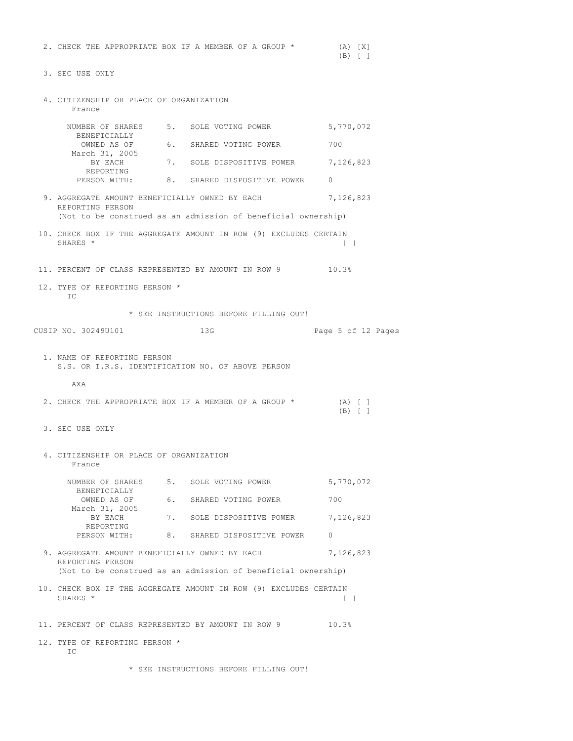|                                                   |                                                                   | $(B)$ [ ]              |
|---------------------------------------------------|-------------------------------------------------------------------|------------------------|
| 3. SEC USE ONLY                                   |                                                                   |                        |
| 4. CITIZENSHIP OR PLACE OF ORGANIZATION<br>France |                                                                   |                        |
|                                                   | NUMBER OF SHARES 5. SOLE VOTING POWER 5,770,072                   |                        |
| BENEFICIALLY                                      | OWNED AS OF 6. SHARED VOTING POWER                                | 700                    |
| March 31, 2005<br>BY EACH<br>REPORTING            | 7. SOLE DISPOSITIVE POWER                                         | 7,126,823              |
| PERSON WITH:                                      | 8. SHARED DISPOSITIVE POWER                                       | $\mathbf{0}$           |
| REPORTING PERSON                                  | 9. AGGREGATE AMOUNT BENEFICIALLY OWNED BY EACH                    | 7,126,823              |
|                                                   | (Not to be construed as an admission of beneficial ownership)     |                        |
| SHARES *                                          | 10. CHECK BOX IF THE AGGREGATE AMOUNT IN ROW (9) EXCLUDES CERTAIN | $\mathbf{1}$           |
|                                                   | 11. PERCENT OF CLASS REPRESENTED BY AMOUNT IN ROW 9 10.3%         |                        |
| 12. TYPE OF REPORTING PERSON *<br>IC              |                                                                   |                        |
|                                                   | * SEE INSTRUCTIONS BEFORE FILLING OUT!                            |                        |
| CUSIP NO. 30249U101                               | 13G                                                               | Page 5 of 12 Pages     |
| 1. NAME OF REPORTING PERSON                       | S.S. OR I.R.S. IDENTIFICATION NO. OF ABOVE PERSON                 |                        |
| AXA                                               |                                                                   |                        |
|                                                   | 2. CHECK THE APPROPRIATE BOX IF A MEMBER OF A GROUP *             | $(A)$ [ ]<br>$(B)$ [ ] |
| 3. SEC USE ONLY                                   |                                                                   |                        |
| 4. CITIZENSHIP OR PLACE OF ORGANIZATION<br>France |                                                                   |                        |
| BENEFICIALLY                                      | NUMBER OF SHARES 5. SOLE VOTING POWER                             | 5,770,072              |
| OWNED AS OF                                       | 6. SHARED VOTING POWER                                            | 700                    |
| March 31, 2005<br>BY EACH                         | 7. SOLE DISPOSITIVE POWER                                         | 7,126,823              |
| REPORTING                                         | PERSON WITH: 8. SHARED DISPOSITIVE POWER                          | $\Omega$               |
| REPORTING PERSON                                  | 9. AGGREGATE AMOUNT BENEFICIALLY OWNED BY EACH                    | 7,126,823              |
|                                                   | (Not to be construed as an admission of beneficial ownership)     |                        |
| SHARES *                                          | 10. CHECK BOX IF THE AGGREGATE AMOUNT IN ROW (9) EXCLUDES CERTAIN | $\perp$                |
|                                                   |                                                                   |                        |

2. CHECK THE APPROPRIATE BOX IF A MEMBER OF A GROUP \* (A) [X]

11. PERCENT OF CLASS REPRESENTED BY AMOUNT IN ROW 9 10.3%

12. TYPE OF REPORTING PERSON \* IC

\* SEE INSTRUCTIONS BEFORE FILLING OUT!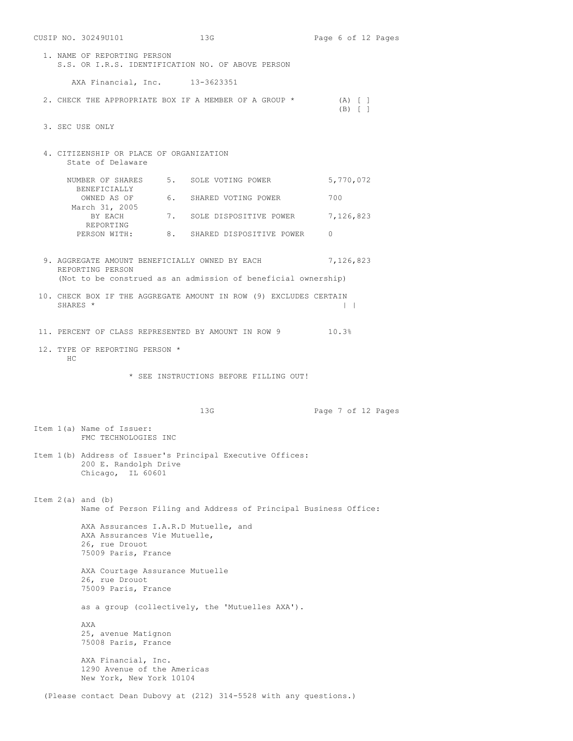|                                        | CUSIP NO. 30249U101                                                            | 13G                                                               | Page 6 of 12 Pages     |  |  |
|----------------------------------------|--------------------------------------------------------------------------------|-------------------------------------------------------------------|------------------------|--|--|
|                                        | 1. NAME OF REPORTING PERSON                                                    | S.S. OR I.R.S. IDENTIFICATION NO. OF ABOVE PERSON                 |                        |  |  |
|                                        | AXA Financial, Inc. 13-3623351                                                 |                                                                   |                        |  |  |
|                                        |                                                                                | 2. CHECK THE APPROPRIATE BOX IF A MEMBER OF A GROUP *             | $(A)$ [ ]<br>$(B)$ [ ] |  |  |
|                                        | 3. SEC USE ONLY                                                                |                                                                   |                        |  |  |
|                                        | 4. CITIZENSHIP OR PLACE OF ORGANIZATION<br>State of Delaware                   |                                                                   |                        |  |  |
|                                        |                                                                                | NUMBER OF SHARES 5. SOLE VOTING POWER                             | 5,770,072              |  |  |
|                                        | BENEFICIALLY                                                                   | OWNED AS OF 6. SHARED VOTING POWER                                | 700                    |  |  |
|                                        | March 31, 2005<br>BY EACH                                                      | 7. SOLE DISPOSITIVE POWER                                         | 7,126,823              |  |  |
|                                        | REPORTING                                                                      | PERSON WITH: 8. SHARED DISPOSITIVE POWER                          | $\Omega$               |  |  |
|                                        | REPORTING PERSON                                                               | 9. AGGREGATE AMOUNT BENEFICIALLY OWNED BY EACH                    | 7,126,823              |  |  |
|                                        |                                                                                | (Not to be construed as an admission of beneficial ownership)     |                        |  |  |
| SHARES *                               |                                                                                | 10. CHECK BOX IF THE AGGREGATE AMOUNT IN ROW (9) EXCLUDES CERTAIN | $\perp$                |  |  |
|                                        |                                                                                | 11. PERCENT OF CLASS REPRESENTED BY AMOUNT IN ROW 9 10.3%         |                        |  |  |
| HC                                     | 12. TYPE OF REPORTING PERSON *                                                 |                                                                   |                        |  |  |
| * SEE INSTRUCTIONS BEFORE FILLING OUT! |                                                                                |                                                                   |                        |  |  |
|                                        |                                                                                |                                                                   |                        |  |  |
|                                        |                                                                                | 13G                                                               |                        |  |  |
|                                        | Item 1(a) Name of Issuer:<br>FMC TECHNOLOGIES INC                              |                                                                   | Page 7 of 12 Pages     |  |  |
|                                        |                                                                                |                                                                   |                        |  |  |
|                                        | 200 E. Randolph Drive<br>Chicago, IL 60601                                     | Item 1(b) Address of Issuer's Principal Executive Offices:        |                        |  |  |
|                                        | Item $2(a)$ and $(b)$                                                          | Name of Person Filing and Address of Principal Business Office:   |                        |  |  |
|                                        | AXA Assurances Vie Mutuelle,<br>26, rue Drouot<br>75009 Paris, France          | AXA Assurances I.A.R.D Mutuelle, and                              |                        |  |  |
|                                        | AXA Courtage Assurance Mutuelle<br>26, rue Drouot<br>75009 Paris, France       |                                                                   |                        |  |  |
|                                        |                                                                                | as a group (collectively, the 'Mutuelles AXA').                   |                        |  |  |
|                                        | AXA<br>25, avenue Matignon<br>75008 Paris, France                              |                                                                   |                        |  |  |
|                                        | AXA Financial, Inc.<br>1290 Avenue of the Americas<br>New York, New York 10104 |                                                                   |                        |  |  |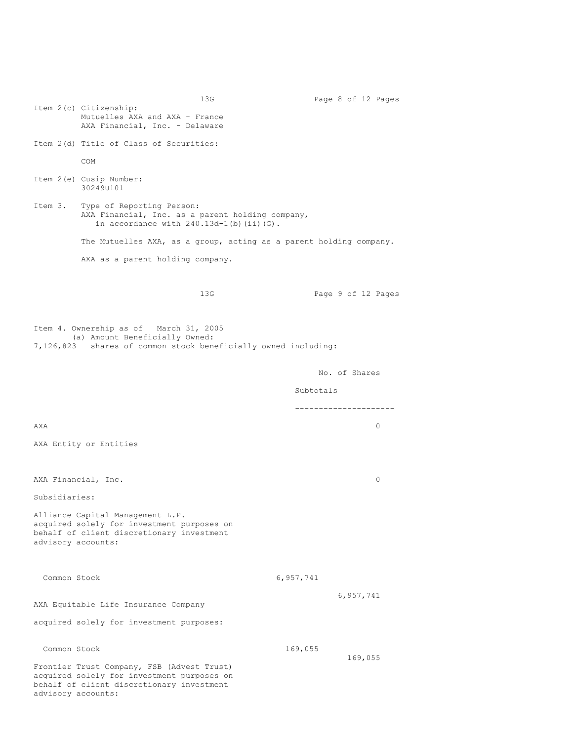13G Page 8 of 12 Pages Item 2(c) Citizenship: Mutuelles AXA and AXA - France AXA Financial, Inc. - Delaware Item 2(d) Title of Class of Securities: COM Item 2(e) Cusip Number: 30249U101 Item 3. Type of Reporting Person: AXA Financial, Inc. as a parent holding company, in accordance with  $240.13d-1(b)$  (ii)(G). The Mutuelles AXA, as a group, acting as a parent holding company. AXA as a parent holding company. 13G Page 9 of 12 Pages Item 4. Ownership as of March 31, 2005 (a) Amount Beneficially Owned: 7,126,823 shares of common stock beneficially owned including: No. of Shares Subtotals ---------------------  $\Delta X$ A $\lambda$ AXA Entity or Entities AXA Financial, Inc. 0 Subsidiaries: Alliance Capital Management L.P. acquired solely for investment purposes on behalf of client discretionary investment advisory accounts: Common Stock 6,957,741 6,957,741 AXA Equitable Life Insurance Company acquired solely for investment purposes: Common Stock 169,055 169,055 Frontier Trust Company, FSB (Advest Trust) acquired solely for investment purposes on behalf of client discretionary investment advisory accounts: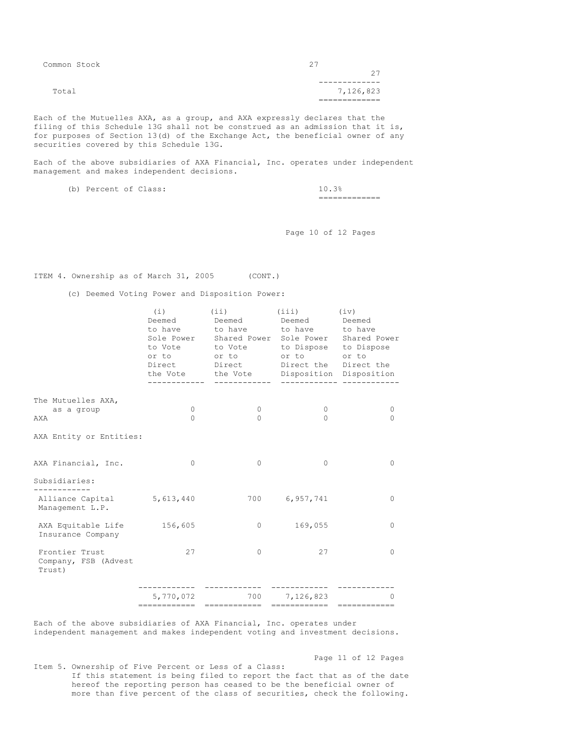| Common Stock | クワ        |
|--------------|-----------|
|              | つワ        |
|              |           |
| Total        | 7,126,823 |
|              | ________  |
|              |           |

Each of the Mutuelles AXA, as a group, and AXA expressly declares that the filing of this Schedule 13G shall not be construed as an admission that it is, for purposes of Section 13(d) of the Exchange Act, the beneficial owner of any securities covered by this Schedule 13G.

Each of the above subsidiaries of AXA Financial, Inc. operates under independent management and makes independent decisions.

| (b) | Percent of Class: |  |                                |
|-----|-------------------|--|--------------------------------|
|     |                   |  | _____________<br>_____________ |

Page 10 of 12 Pages

ITEM 4. Ownership as of March 31, 2005 (CONT.)

(c) Deemed Voting Power and Disposition Power:

|                                                              | (i)<br>Deemed<br>to Vote<br>or to<br>Direct | (i)<br>Deemed<br>to have to have<br>Sole Power Shared Power Sole Power Shared Power<br>to Vote<br>or to<br>Direct<br>the Vote the Vote Disposition Disposition | (iii)<br>Deemed<br>to have to have<br>to Dispose to Dispose<br>or to or to<br>------------- ------ | (iv)<br>Deemed<br>Direct the Direct the |
|--------------------------------------------------------------|---------------------------------------------|----------------------------------------------------------------------------------------------------------------------------------------------------------------|----------------------------------------------------------------------------------------------------|-----------------------------------------|
| The Mutuelles AXA,                                           | 0                                           | $\mathbf{0}$                                                                                                                                                   | $\mathbf{0}$                                                                                       | $\mathbf{0}$                            |
| as a group<br>AXA                                            | $\Omega$                                    | $\bigcap$                                                                                                                                                      | $\Omega$                                                                                           | $\bigcap$                               |
| AXA Entity or Entities:                                      |                                             |                                                                                                                                                                |                                                                                                    |                                         |
| AXA Financial, Inc.                                          | $\circ$                                     | $\mathbf{0}$                                                                                                                                                   | $\mathbf{0}$                                                                                       | $\circ$                                 |
| Subsidiaries:                                                |                                             |                                                                                                                                                                |                                                                                                    |                                         |
| -----------<br>Alliance Capital 5,613,440<br>Management L.P. |                                             |                                                                                                                                                                | 700 6,957,741                                                                                      | $\circ$                                 |
| AXA Equitable Life 156,605<br>Insurance Company              |                                             | $\Omega$                                                                                                                                                       | 169,055                                                                                            | $\Omega$                                |
| Frontier Trust<br>Company, FSB (Advest<br>Trust)             | 27                                          | $\Omega$                                                                                                                                                       | 27                                                                                                 | $\Omega$                                |
|                                                              | 5,770,072                                   |                                                                                                                                                                | 700 7,126,823                                                                                      | $\Omega$                                |
|                                                              |                                             |                                                                                                                                                                |                                                                                                    |                                         |

Each of the above subsidiaries of AXA Financial, Inc. operates under independent management and makes independent voting and investment decisions.

Page 11 of 12 Pages

Item 5. Ownership of Five Percent or Less of a Class: If this statement is being filed to report the fact that as of the date hereof the reporting person has ceased to be the beneficial owner of more than five percent of the class of securities, check the following.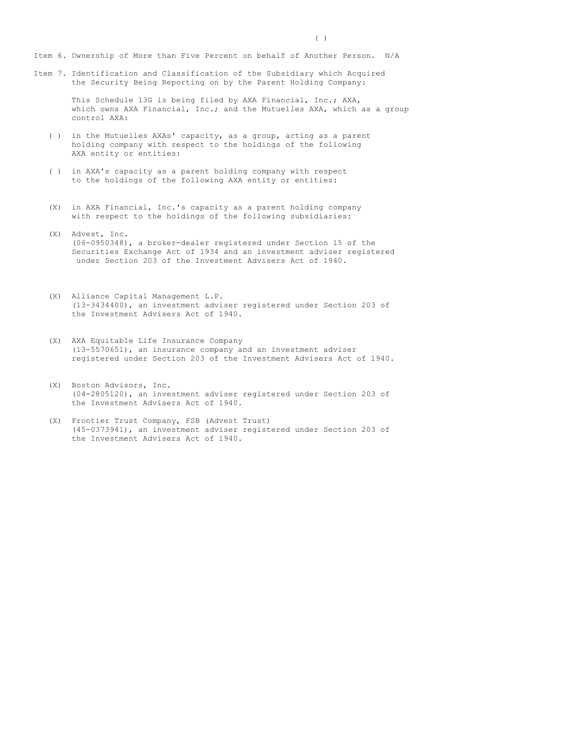Item 6. Ownership of More than Five Percent on behalf of Another Person. N/A

Item 7. Identification and Classification of the Subsidiary which Acquired the Security Being Reporting on by the Parent Holding Company:

> This Schedule 13G is being filed by AXA Financial, Inc.; AXA, which owns AXA Financial, Inc.; and the Mutuelles AXA, which as a group control AXA:

- ( ) in the Mutuelles AXAs' capacity, as a group, acting as a parent holding company with respect to the holdings of the following AXA entity or entities:
- ( ) in AXA's capacity as a parent holding company with respect to the holdings of the following AXA entity or entities:
- (X) in AXA Financial, Inc.'s capacity as a parent holding company with respect to the holdings of the following subsidiaries:
- (X) Advest, Inc. (06-0950348), a broker-dealer registered under Section 15 of the Securities Exchange Act of 1934 and an investment adviser registered under Section 203 of the Investment Advisers Act of 1940.
- (X) Alliance Capital Management L.P. (13-3434400), an investment adviser registered under Section 203 of the Investment Advisers Act of 1940.
- (X) AXA Equitable Life Insurance Company (13-5570651), an insurance company and an investment adviser registered under Section 203 of the Investment Advisers Act of 1940.
- (X) Boston Advisors, Inc. (04-2805120), an investment adviser registered under Section 203 of the Investment Advisers Act of 1940.
- (X) Frontier Trust Company, FSB (Advest Trust) (45-0373941), an investment adviser registered under Section 203 of the Investment Advisers Act of 1940.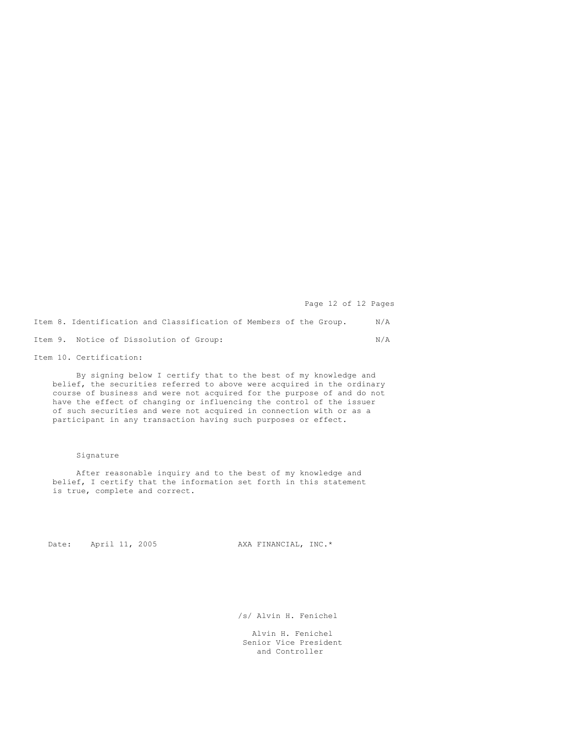Page 12 of 12 Pages

Item 8. Identification and Classification of Members of the Group. N/A Item 9. Notice of Dissolution of Group: N/A

Item 10. Certification:

By signing below I certify that to the best of my knowledge and belief, the securities referred to above were acquired in the ordinary course of business and were not acquired for the purpose of and do not have the effect of changing or influencing the control of the issuer of such securities and were not acquired in connection with or as a participant in any transaction having such purposes or effect.

## Signature

After reasonable inquiry and to the best of my knowledge and belief, I certify that the information set forth in this statement is true, complete and correct.

Date: April 11, 2005 AXA FINANCIAL, INC.\*

/s/ Alvin H. Fenichel

Alvin H. Fenichel Senior Vice President and Controller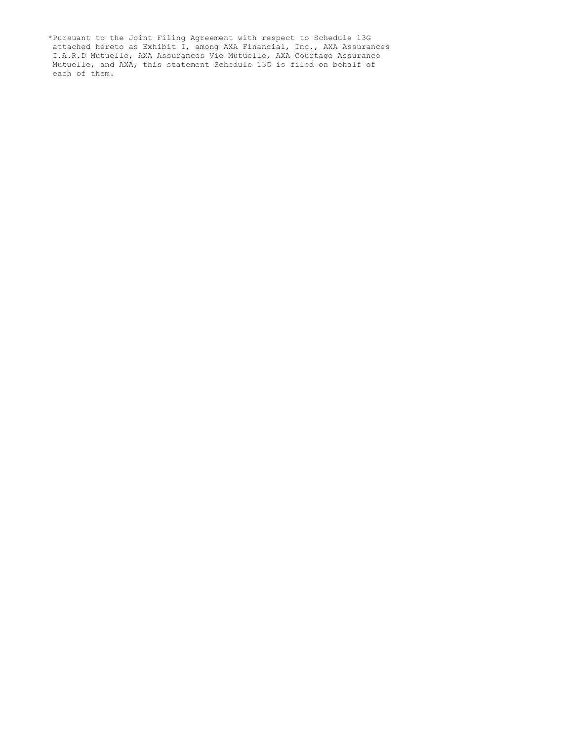\*Pursuant to the Joint Filing Agreement with respect to Schedule 13G attached hereto as Exhibit I, among AXA Financial, Inc., AXA Assurances I.A.R.D Mutuelle, AXA Assurances Vie Mutuelle, AXA Courtage Assurance Mutuelle, and AXA, this statement Schedule 13G is filed on behalf of each of them.